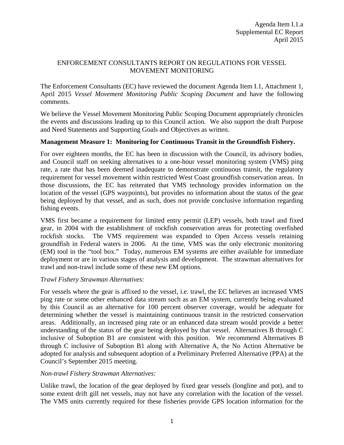## ENFORCEMENT CONSULTANTS REPORT ON REGULATIONS FOR VESSEL MOVEMENT MONITORING

The Enforcement Consultants (EC) have reviewed the document Agenda Item I.1, Attachment 1, April 2015 *Vessel Movement Monitoring Public Scoping Document* and have the following comments.

We believe the Vessel Movement Monitoring Public Scoping Document appropriately chronicles the events and discussions leading up to this Council action. We also support the draft Purpose and Need Statements and Supporting Goals and Objectives as written.

## **Management Measure 1: Monitoring for Continuous Transit in the Groundfish Fishery.**

For over eighteen months, the EC has been in discussion with the Council, its advisory bodies, and Council staff on seeking alternatives to a one-hour vessel monitoring system (VMS) ping rate, a rate that has been deemed inadequate to demonstrate continuous transit, the regulatory requirement for vessel movement within restricted West Coast groundfish conservation areas. In those discussions, the EC has reiterated that VMS technology provides information on the location of the vessel (GPS waypoints), but provides no information about the status of the gear being deployed by that vessel, and as such, does not provide conclusive information regarding fishing events.

VMS first became a requirement for limited entry permit (LEP) vessels, both trawl and fixed gear, in 2004 with the establishment of rockfish conservation areas for protecting overfished rockfish stocks. The VMS requirement was expanded to Open Access vessels retaining groundfish in Federal waters in 2006. At the time, VMS was the only electronic monitoring (EM) tool in the "tool box." Today, numerous EM systems are either available for immediate deployment or are in various stages of analysis and development. The strawman alternatives for trawl and non-trawl include some of these new EM options.

### *Trawl Fishery Strawman Alternatives:*

For vessels where the gear is affixed to the vessel, i.e. trawl, the EC believes an increased VMS ping rate or some other enhanced data stream such as an EM system, currently being evaluated by this Council as an alternative for 100 percent observer coverage, would be adequate for determining whether the vessel is maintaining continuous transit in the restricted conservation areas. Additionally, an increased ping rate or an enhanced data stream would provide a better understanding of the status of the gear being deployed by that vessel. Alternatives B through C inclusive of Suboption B1 are consistent with this position. We recommend Alternatives B through C inclusive of Suboption B1 along with Alternative A, the No Action Alternative be adopted for analysis and subsequent adoption of a Preliminary Preferred Alternative (PPA) at the Council's September 2015 meeting.

# *Non-trawl Fishery Strawman Alternatives:*

Unlike trawl, the location of the gear deployed by fixed gear vessels (longline and pot), and to some extent drift gill net vessels, may not have any correlation with the location of the vessel. The VMS units currently required for these fisheries provide GPS location information for the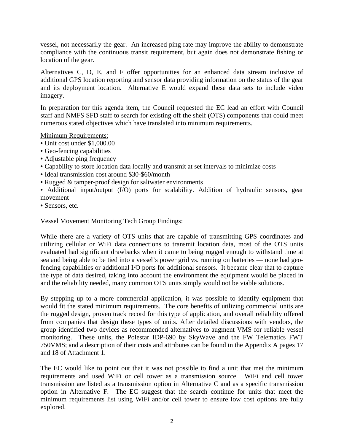vessel, not necessarily the gear. An increased ping rate may improve the ability to demonstrate compliance with the continuous transit requirement, but again does not demonstrate fishing or location of the gear.

Alternatives C, D, E, and F offer opportunities for an enhanced data stream inclusive of additional GPS location reporting and sensor data providing information on the status of the gear and its deployment location. Alternative E would expand these data sets to include video imagery.

In preparation for this agenda item, the Council requested the EC lead an effort with Council staff and NMFS SFD staff to search for existing off the shelf (OTS) components that could meet numerous stated objectives which have translated into minimum requirements.

Minimum Requirements:

- Unit cost under \$1,000.00
- Geo-fencing capabilities
- Adjustable ping frequency
- Capability to store location data locally and transmit at set intervals to minimize costs
- Ideal transmission cost around \$30-\$60/month
- Rugged & tamper-proof design for saltwater environments
- Additional input/output (I/O) ports for scalability. Addition of hydraulic sensors, gear movement
- Sensors, etc.

### Vessel Movement Monitoring Tech Group Findings:

While there are a variety of OTS units that are capable of transmitting GPS coordinates and utilizing cellular or WiFi data connections to transmit location data, most of the OTS units evaluated had significant drawbacks when it came to being rugged enough to withstand time at sea and being able to be tied into a vessel's power grid vs. running on batteries — none had geofencing capabilities or additional I/O ports for additional sensors. It became clear that to capture the type of data desired, taking into account the environment the equipment would be placed in and the reliability needed, many common OTS units simply would not be viable solutions.

By stepping up to a more commercial application, it was possible to identify equipment that would fit the stated minimum requirements. The core benefits of utilizing commercial units are the rugged design, proven track record for this type of application, and overall reliability offered from companies that design these types of units. After detailed discussions with vendors, the group identified two devices as recommended alternatives to augment VMS for reliable vessel monitoring. These units, the Polestar IDP-690 by SkyWave and the FW Telematics FWT 750VMS; and a description of their costs and attributes can be found in the Appendix A pages 17 and 18 of Attachment 1.

The EC would like to point out that it was not possible to find a unit that met the minimum requirements and used WiFi or cell tower as a transmission source. WiFi and cell tower transmission are listed as a transmission option in Alternative C and as a specific transmission option in Alternative F. The EC suggest that the search continue for units that meet the minimum requirements list using WiFi and/or cell tower to ensure low cost options are fully explored.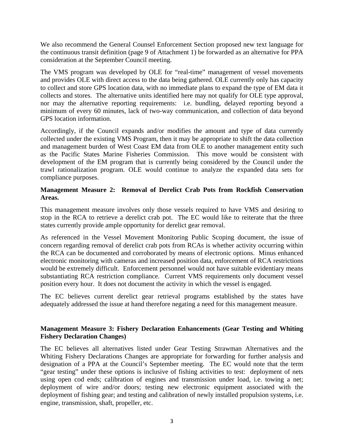We also recommend the General Counsel Enforcement Section proposed new text language for the continuous transit definition (page 9 of Attachment 1) be forwarded as an alternative for PPA consideration at the September Council meeting.

The VMS program was developed by OLE for "real-time" management of vessel movements and provides OLE with direct access to the data being gathered. OLE currently only has capacity to collect and store GPS location data, with no immediate plans to expand the type of EM data it collects and stores. The alternative units identified here may not qualify for OLE type approval, nor may the alternative reporting requirements: i.e. bundling, delayed reporting beyond a minimum of every 60 minutes, lack of two-way communication, and collection of data beyond GPS location information.

Accordingly, if the Council expands and/or modifies the amount and type of data currently collected under the existing VMS Program, then it may be appropriate to shift the data collection and management burden of West Coast EM data from OLE to another management entity such as the Pacific States Marine Fisheries Commission. This move would be consistent with development of the EM program that is currently being considered by the Council under the trawl rationalization program. OLE would continue to analyze the expanded data sets for compliance purposes.

## **Management Measure 2: Removal of Derelict Crab Pots from Rockfish Conservation Areas.**

This management measure involves only those vessels required to have VMS and desiring to stop in the RCA to retrieve a derelict crab pot. The EC would like to reiterate that the three states currently provide ample opportunity for derelict gear removal.

As referenced in the Vessel Movement Monitoring Public Scoping document, the issue of concern regarding removal of derelict crab pots from RCAs is whether activity occurring within the RCA can be documented and corroborated by means of electronic options. Minus enhanced electronic monitoring with cameras and increased position data, enforcement of RCA restrictions would be extremely difficult. Enforcement personnel would not have suitable evidentiary means substantiating RCA restriction compliance. Current VMS requirements only document vessel position every hour. It does not document the activity in which the vessel is engaged.

The EC believes current derelict gear retrieval programs established by the states have adequately addressed the issue at hand therefore negating a need for this management measure.

## **Management Measure 3: Fishery Declaration Enhancements (Gear Testing and Whiting Fishery Declaration Changes)**

The EC believes all alternatives listed under Gear Testing Strawman Alternatives and the Whiting Fishery Declarations Changes are appropriate for forwarding for further analysis and designation of a PPA at the Council's September meeting. The EC would note that the term "gear testing" under these options is inclusive of fishing activities to test: deployment of nets using open cod ends; calibration of engines and transmission under load, i.e. towing a net; deployment of wire and/or doors; testing new electronic equipment associated with the deployment of fishing gear; and testing and calibration of newly installed propulsion systems, i.e. engine, transmission, shaft, propeller, etc.